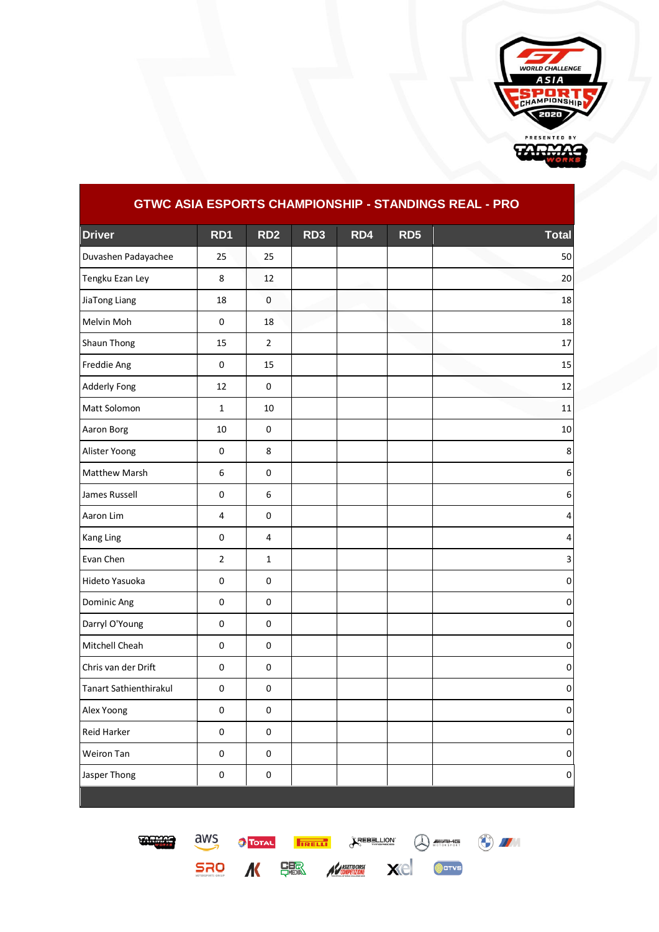

| <u>viti</u><br>ັ<br><u>UHAMI</u> |                |                  |                 |     |                 |                  |  |  |  |  |  |
|----------------------------------|----------------|------------------|-----------------|-----|-----------------|------------------|--|--|--|--|--|
| <b>Driver</b>                    | RD1            | RD <sub>2</sub>  | RD <sub>3</sub> | RD4 | RD <sub>5</sub> | <b>Total</b>     |  |  |  |  |  |
| Duvashen Padayachee              | 25             | 25               |                 |     |                 | 50               |  |  |  |  |  |
| Tengku Ezan Ley                  | 8              | 12               |                 |     |                 | 20               |  |  |  |  |  |
| JiaTong Liang                    | 18             | $\mathbf 0$      |                 |     |                 | 18               |  |  |  |  |  |
| Melvin Moh                       | $\pmb{0}$      | 18               |                 |     |                 | 18               |  |  |  |  |  |
| Shaun Thong                      | 15             | $\overline{2}$   |                 |     |                 | 17               |  |  |  |  |  |
| Freddie Ang                      | $\pmb{0}$      | 15               |                 |     |                 | 15               |  |  |  |  |  |
| <b>Adderly Fong</b>              | 12             | 0                |                 |     |                 | 12               |  |  |  |  |  |
| Matt Solomon                     | $\mathbf 1$    | 10               |                 |     |                 | 11               |  |  |  |  |  |
| Aaron Borg                       | 10             | $\mathsf 0$      |                 |     |                 | 10               |  |  |  |  |  |
| Alister Yoong                    | $\pmb{0}$      | 8                |                 |     |                 | 8                |  |  |  |  |  |
| Matthew Marsh                    | 6              | $\pmb{0}$        |                 |     |                 | $\boldsymbol{6}$ |  |  |  |  |  |
| James Russell                    | $\pmb{0}$      | $\boldsymbol{6}$ |                 |     |                 | $\boldsymbol{6}$ |  |  |  |  |  |
| Aaron Lim                        | $\pmb{4}$      | $\pmb{0}$        |                 |     |                 | 4                |  |  |  |  |  |
| Kang Ling                        | $\pmb{0}$      | $\sqrt{4}$       |                 |     |                 | $\pmb{4}$        |  |  |  |  |  |
| Evan Chen                        | $\overline{2}$ | $\mathbf{1}$     |                 |     |                 | $\mathsf 3$      |  |  |  |  |  |
| Hideto Yasuoka                   | $\pmb{0}$      | $\mathsf 0$      |                 |     |                 | $\pmb{0}$        |  |  |  |  |  |
| Dominic Ang                      | $\pmb{0}$      | $\pmb{0}$        |                 |     |                 | $\pmb{0}$        |  |  |  |  |  |
| Darryl O'Young                   | 0              | $\pmb{0}$        |                 |     |                 | $\pmb{0}$        |  |  |  |  |  |
| Mitchell Cheah                   | $\pmb{0}$      | $\pmb{0}$        |                 |     |                 | $\pmb{0}$        |  |  |  |  |  |
| Chris van der Drift              | $\pmb{0}$      | $\pmb{0}$        |                 |     |                 | $\pmb{0}$        |  |  |  |  |  |
| <b>Tanart Sathienthirakul</b>    | $\pmb{0}$      | $\pmb{0}$        |                 |     |                 | $\pmb{0}$        |  |  |  |  |  |
| Alex Yoong                       | $\pmb{0}$      | $\mathbf 0$      |                 |     |                 | $\mathbf{0}$     |  |  |  |  |  |
| Reid Harker                      | $\pmb{0}$      | $\pmb{0}$        |                 |     |                 | $\pmb{0}$        |  |  |  |  |  |
| Weiron Tan                       | $\pmb{0}$      | $\pmb{0}$        |                 |     |                 | $\pmb{0}$        |  |  |  |  |  |
| Jasper Thong                     | $\mathsf 0$    | $\pmb{0}$        |                 |     |                 | $\Omega$         |  |  |  |  |  |

**GTWC ASIA ESPORTS CHAMPIONSHIP - STANDINGS REAL - PRO**



SRO K SER KARA Xe Ocrys